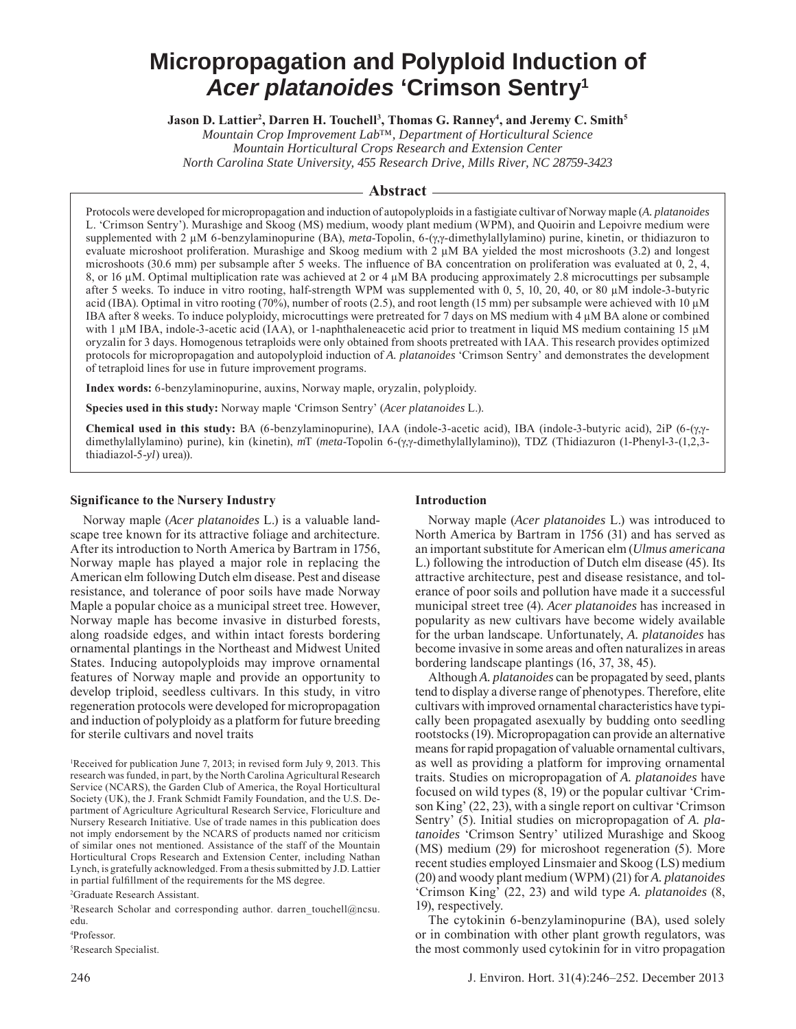# **Micropropagation and Polyploid Induction of**  *Acer platanoides* **'Crimson Sentry1**

**Jason D. Lattier<sup>2</sup>, Darren H. Touchell<sup>3</sup>, Thomas G. Ranney<sup>4</sup>, and Jeremy C. Smith<sup>5</sup>** 

*Mountain Crop Improvement Lab™, Department of Horticultural Science Mountain Horticultural Crops Research and Extension Center North Carolina State University, 455 Research Drive, Mills River, NC 28759-3423*

## **Abstract**

Protocols were developed for micropropagation and induction of autopolyploids in a fastigiate cultivar of Norway maple (*A. platanoides*  L. 'Crimson Sentry'). Murashige and Skoog (MS) medium, woody plant medium (WPM), and Quoirin and Lepoivre medium were supplemented with 2 μM 6-benzylaminopurine (BA), *meta*-Topolin, 6-(γ,γ-dimethylallylamino) purine, kinetin, or thidiazuron to evaluate microshoot proliferation. Murashige and Skoog medium with 2 μM BA yielded the most microshoots (3.2) and longest microshoots (30.6 mm) per subsample after 5 weeks. The influence of BA concentration on proliferation was evaluated at  $0, 2, 4$ , 8, or 16 μM. Optimal multiplication rate was achieved at 2 or 4 μM BA producing approximately 2.8 microcuttings per subsample after 5 weeks. To induce in vitro rooting, half-strength WPM was supplemented with 0, 5, 10, 20, 40, or 80 μM indole-3-butyric acid (IBA). Optimal in vitro rooting (70%), number of roots (2.5), and root length (15 mm) per subsample were achieved with 10 μM IBA after 8 weeks. To induce polyploidy, microcuttings were pretreated for 7 days on MS medium with 4 μM BA alone or combined with 1 μM IBA, indole-3-acetic acid (IAA), or 1-naphthaleneacetic acid prior to treatment in liquid MS medium containing 15 μM oryzalin for 3 days. Homogenous tetraploids were only obtained from shoots pretreated with IAA. This research provides optimized protocols for micropropagation and autopolyploid induction of *A. platanoides* 'Crimson Sentry' and demonstrates the development of tetraploid lines for use in future improvement programs.

**Index words:** 6-benzylaminopurine, auxins, Norway maple, oryzalin, polyploidy.

**Species used in this study:** Norway maple 'Crimson Sentry' (*Acer platanoides* L.).

**Chemical used in this study:** BA (6-benzylaminopurine), IAA (indole-3-acetic acid), IBA (indole-3-butyric acid), 2iP (6-(γ,γdimethylallylamino) purine), kin (kinetin), *m*T (*meta*-Topolin 6-(γ,γ-dimethylallylamino)), TDZ (Thidiazuron (1-Phenyl-3-(1,2,3 thiadiazol-5-*yl*) urea)).

### **Significance to the Nursery Industry**

Norway maple (*Acer platanoides* L.) is a valuable landscape tree known for its attractive foliage and architecture. After its introduction to North America by Bartram in 1756, Norway maple has played a major role in replacing the American elm following Dutch elm disease. Pest and disease resistance, and tolerance of poor soils have made Norway Maple a popular choice as a municipal street tree. However, Norway maple has become invasive in disturbed forests, along roadside edges, and within intact forests bordering ornamental plantings in the Northeast and Midwest United States. Inducing autopolyploids may improve ornamental features of Norway maple and provide an opportunity to develop triploid, seedless cultivars. In this study, in vitro regeneration protocols were developed for micropropagation and induction of polyploidy as a platform for future breeding for sterile cultivars and novel traits

1 Received for publication June 7, 2013; in revised form July 9, 2013. This research was funded, in part, by the North Carolina Agricultural Research Service (NCARS), the Garden Club of America, the Royal Horticultural Society (UK), the J. Frank Schmidt Family Foundation, and the U.S. Department of Agriculture Agricultural Research Service, Floriculture and Nursery Research Initiative. Use of trade names in this publication does not imply endorsement by the NCARS of products named nor criticism of similar ones not mentioned. Assistance of the staff of the Mountain Horticultural Crops Research and Extension Center, including Nathan Lynch, is gratefully acknowledged. From a thesis submitted by J.D. Lattier in partial fulfillment of the requirements for the MS degree.

2 Graduate Research Assistant.

3 Research Scholar and corresponding author. darren\_touchell@ncsu. edu.

4 Professor.

5 Research Specialist.

### **Introduction**

Norway maple (*Acer platanoides* L.) was introduced to North America by Bartram in 1756 (31) and has served as an important substitute for American elm (*Ulmus americana* L.) following the introduction of Dutch elm disease (45). Its attractive architecture, pest and disease resistance, and tolerance of poor soils and pollution have made it a successful municipal street tree (4). *Acer platanoides* has increased in popularity as new cultivars have become widely available for the urban landscape. Unfortunately, *A. platanoides* has become invasive in some areas and often naturalizes in areas bordering landscape plantings (16, 37, 38, 45).

Although *A. platanoides* can be propagated by seed, plants tend to display a diverse range of phenotypes. Therefore, elite cultivars with improved ornamental characteristics have typically been propagated asexually by budding onto seedling rootstocks (19). Micropropagation can provide an alternative means for rapid propagation of valuable ornamental cultivars, as well as providing a platform for improving ornamental traits. Studies on micropropagation of *A. platanoides* have focused on wild types (8, 19) or the popular cultivar 'Crimson King' (22, 23), with a single report on cultivar 'Crimson Sentry' (5). Initial studies on micropropagation of *A. platanoides* 'Crimson Sentry' utilized Murashige and Skoog (MS) medium (29) for microshoot regeneration (5). More recent studies employed Linsmaier and Skoog (LS) medium (20) and woody plant medium (WPM) (21) for *A. platanoides* 'Crimson King' (22, 23) and wild type *A. platanoides* (8, 19), respectively.

The cytokinin 6-benzylaminopurine (BA), used solely or in combination with other plant growth regulators, was the most commonly used cytokinin for in vitro propagation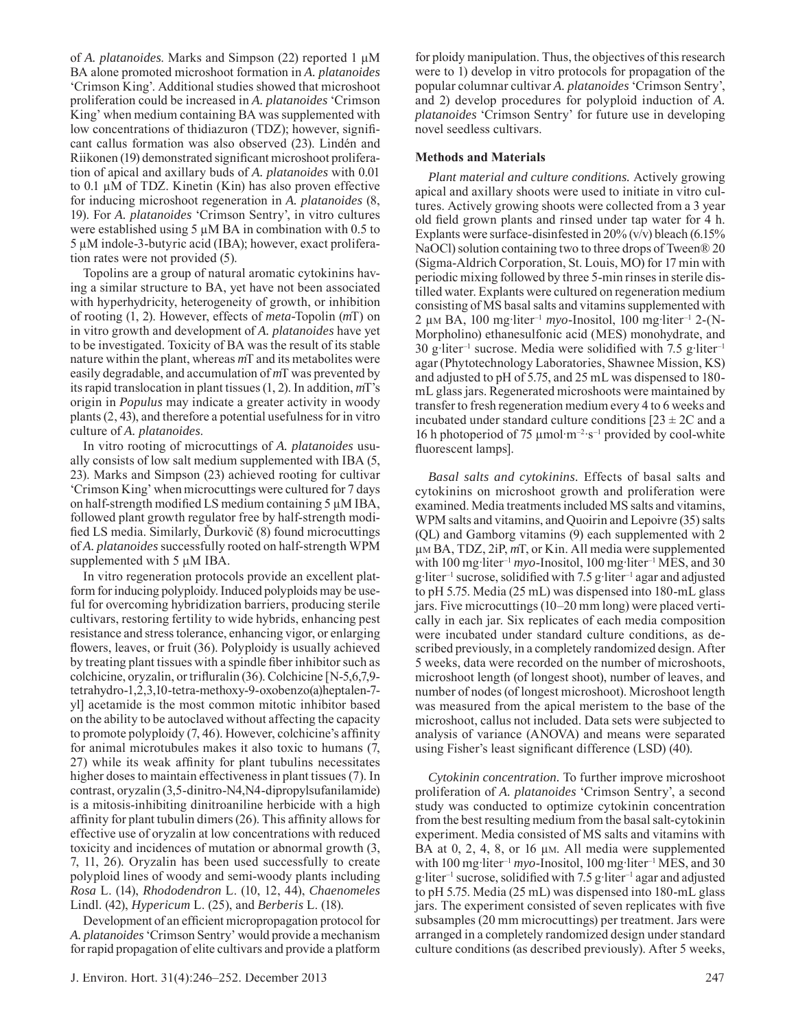BA alone promoted microshoot formation in *A. platanoides* 'Crimson King'. Additional studies showed that microshoot proliferation could be increased in *A. platanoides* 'Crimson King' when medium containing BA was supplemented with low concentrations of thidiazuron (TDZ); however, significant callus formation was also observed (23). Lindén and Riikonen (19) demonstrated significant microshoot proliferation of apical and axillary buds of *A. platanoides* with 0.01 to 0.1 μM of TDZ. Kinetin (Kin) has also proven effective for inducing microshoot regeneration in *A. platanoides* (8, 19). For *A. platanoides* 'Crimson Sentry', in vitro cultures were established using  $5 \mu M$  BA in combination with 0.5 to 5 μM indole-3-butyric acid (IBA); however, exact proliferation rates were not provided (5). Topolins are a group of natural aromatic cytokinins hav-

of *A. platanoides*. Marks and Simpson (22) reported 1 μM

ing a similar structure to BA, yet have not been associated with hyperhydricity, heterogeneity of growth, or inhibition of rooting (1, 2). However, effects of *meta-*Topolin (*m*T) on in vitro growth and development of *A. platanoides* have yet to be investigated. Toxicity of BA was the result of its stable nature within the plant, whereas *m*T and its metabolites were easily degradable, and accumulation of *m*T was prevented by its rapid translocation in plant tissues (1, 2). In addition, *m*T's origin in *Populus* may indicate a greater activity in woody plants (2, 43), and therefore a potential usefulness for in vitro culture of *A. platanoides*.

In vitro rooting of microcuttings of *A. platanoides* usually consists of low salt medium supplemented with IBA (5, 23). Marks and Simpson (23) achieved rooting for cultivar 'Crimson King' when microcuttings were cultured for 7 days on half-strength modified LS medium containing  $5 \mu M IBA$ , followed plant growth regulator free by half-strength modified LS media. Similarly, Ďurkovič (8) found microcuttings of *A. platanoides* successfully rooted on half-strength WPM supplemented with 5 μM IBA.

In vitro regeneration protocols provide an excellent platform for inducing polyploidy. Induced polyploids may be useful for overcoming hybridization barriers, producing sterile cultivars, restoring fertility to wide hybrids, enhancing pest resistance and stress tolerance, enhancing vigor, or enlarging flowers, leaves, or fruit (36). Polyploidy is usually achieved by treating plant tissues with a spindle fiber inhibitor such as colchicine, oryzalin, or trifluralin  $(36)$ . Colchicine [N-5,6,7,9tetrahydro-1,2,3,10-tetra-methoxy-9-oxobenzo(a)heptalen-7 yl] acetamide is the most common mitotic inhibitor based on the ability to be autoclaved without affecting the capacity to promote polyploidy  $(7, 46)$ . However, colchicine's affinity for animal microtubules makes it also toxic to humans (7, 27) while its weak affinity for plant tubulins necessitates higher doses to maintain effectiveness in plant tissues (7). In contrast, oryzalin (3,5-dinitro-N4,N4-dipropylsufanilamide) is a mitosis-inhibiting dinitroaniline herbicide with a high affinity for plant tubulin dimers  $(26)$ . This affinity allows for effective use of oryzalin at low concentrations with reduced toxicity and incidences of mutation or abnormal growth (3, 7, 11, 26). Oryzalin has been used successfully to create polyploid lines of woody and semi-woody plants including *Rosa* L. (14), *Rhododendron* L. (10, 12, 44), *Chaenomeles* Lindl. (42), *Hypericum* L. (25), and *Berberis* L. (18).

Development of an efficient micropropagation protocol for *A. platanoides* 'Crimson Sentry' would provide a mechanism for rapid propagation of elite cultivars and provide a platform

for ploidy manipulation. Thus, the objectives of this research were to 1) develop in vitro protocols for propagation of the popular columnar cultivar *A. platanoides* 'Crimson Sentry', and 2) develop procedures for polyploid induction of *A. platanoides* 'Crimson Sentry' for future use in developing novel seedless cultivars.

## **Methods and Materials**

*Plant material and culture conditions.* Actively growing apical and axillary shoots were used to initiate in vitro cultures. Actively growing shoots were collected from a 3 year old field grown plants and rinsed under tap water for 4 h. Explants were surface-disinfested in  $20\%$  (v/v) bleach (6.15% NaOCl) solution containing two to three drops of Tween® 20 (Sigma-Aldrich Corporation, St. Louis, MO) for 17 min with periodic mixing followed by three 5-min rinses in sterile distilled water. Explants were cultured on regeneration medium consisting of MS basal salts and vitamins supplemented with 2 μm BA, 100 mg·liter<sup>-1</sup> *myo*-Inositol, 100 mg·liter<sup>-1</sup> 2-(N-Morpholino) ethanesulfonic acid (MES) monohydrate, and 30 g·liter<sup>-1</sup> sucrose. Media were solidified with 7.5 g·liter<sup>-1</sup> agar (Phytotechnology Laboratories, Shawnee Mission, KS) and adjusted to pH of 5.75, and 25 mL was dispensed to 180 mL glass jars. Regenerated microshoots were maintained by transfer to fresh regeneration medium every 4 to 6 weeks and incubated under standard culture conditions  $[23 \pm 2C]$  and a 16 h photoperiod of 75  $\mu$ mol·m<sup>-2</sup>·s<sup>-1</sup> provided by cool-white fluorescent lamps].

*Basal salts and cytokinins.* Effects of basal salts and cytokinins on microshoot growth and proliferation were examined. Media treatments included MS salts and vitamins, WPM salts and vitamins, and Quoirin and Lepoivre (35) salts (QL) and Gamborg vitamins (9) each supplemented with 2 μM BA, TDZ, 2iP, *m*T, or Kin. All media were supplemented with 100 mg liter<sup>-1</sup>  $myo$ -Inositol, 100 mg liter<sup>-1</sup> MES, and 30  $g$  liter<sup>-1</sup> sucrose, solidified with 7.5 g liter<sup>-1</sup> agar and adjusted to pH 5.75. Media (25 mL) was dispensed into 180-mL glass jars. Five microcuttings (10–20 mm long) were placed vertically in each jar. Six replicates of each media composition were incubated under standard culture conditions, as described previously, in a completely randomized design. After 5 weeks, data were recorded on the number of microshoots, microshoot length (of longest shoot), number of leaves, and number of nodes (of longest microshoot). Microshoot length was measured from the apical meristem to the base of the microshoot, callus not included. Data sets were subjected to analysis of variance (ANOVA) and means were separated using Fisher's least significant difference (LSD) (40).

*Cytokinin concentration.* To further improve microshoot proliferation of *A. platanoides* 'Crimson Sentry', a second study was conducted to optimize cytokinin concentration from the best resulting medium from the basal salt-cytokinin experiment. Media consisted of MS salts and vitamins with BA at  $0, 2, 4, 8$ , or 16  $\mu$ M. All media were supplemented with 100 mg liter<sup>-1</sup>  $myo$ -Inositol, 100 mg liter<sup>-1</sup> MES, and 30  $g$  liter<sup>-1</sup> sucrose, solidified with 7.5 g liter<sup>-1</sup> agar and adjusted to pH 5.75. Media (25 mL) was dispensed into 180-mL glass jars. The experiment consisted of seven replicates with five subsamples (20 mm microcuttings) per treatment. Jars were arranged in a completely randomized design under standard culture conditions (as described previously). After 5 weeks,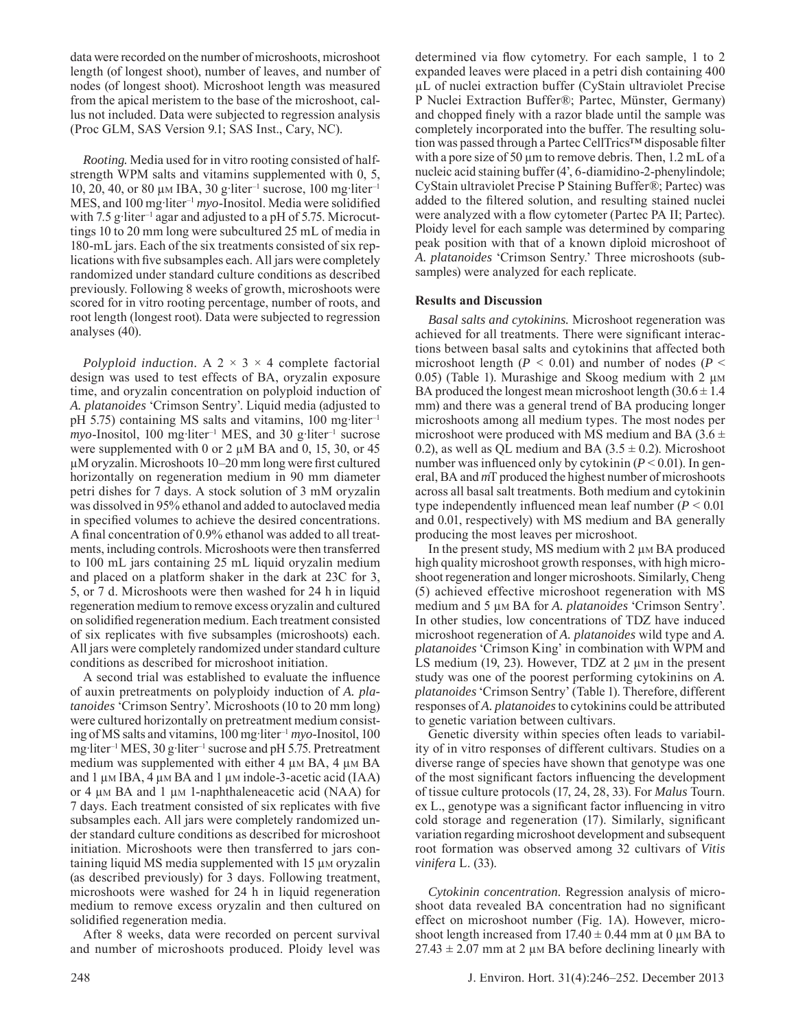data were recorded on the number of microshoots, microshoot length (of longest shoot), number of leaves, and number of nodes (of longest shoot). Microshoot length was measured from the apical meristem to the base of the microshoot, callus not included. Data were subjected to regression analysis (Proc GLM, SAS Version 9.1; SAS Inst., Cary, NC).

*Rooting.* Media used for in vitro rooting consisted of halfstrength WPM salts and vitamins supplemented with 0, 5,  $10, 20, 40,$  or 80 μm IBA, 30 g·liter<sup>-1</sup> sucrose, 100 mg·liter<sup>-1</sup>  $MES$ , and 100 mg·liter<sup>-1</sup> *myo*-Inositol. Media were solidified with 7.5 g·liter<sup>-1</sup> agar and adjusted to a pH of 5.75. Microcuttings 10 to 20 mm long were subcultured 25 mL of media in 180-mL jars. Each of the six treatments consisted of six replications with five subsamples each. All jars were completely randomized under standard culture conditions as described previously. Following 8 weeks of growth, microshoots were scored for in vitro rooting percentage, number of roots, and root length (longest root). Data were subjected to regression analyses (40).

*Polyploid induction.* A  $2 \times 3 \times 4$  complete factorial design was used to test effects of BA, oryzalin exposure time, and oryzalin concentration on polyploid induction of *A. platanoides* 'Crimson Sentry'. Liquid media (adjusted to pH 5.75) containing MS salts and vitamins,  $100 \text{ mg}$  liter<sup>-1</sup>  $myo$ -Inositol, 100 mg·liter<sup>-1</sup> MES, and 30 g·liter<sup>-1</sup> sucrose were supplemented with 0 or 2  $\mu$ M BA and 0, 15, 30, or 45  $\mu$ M oryzalin. Microshoots 10–20 mm long were first cultured horizontally on regeneration medium in 90 mm diameter petri dishes for 7 days. A stock solution of 3 mM oryzalin was dissolved in 95% ethanol and added to autoclaved media in specified volumes to achieve the desired concentrations. A final concentration of 0.9% ethanol was added to all treatments, including controls. Microshoots were then transferred to 100 mL jars containing 25 mL liquid oryzalin medium and placed on a platform shaker in the dark at 23C for 3, 5, or 7 d. Microshoots were then washed for 24 h in liquid regeneration medium to remove excess oryzalin and cultured on solidified regeneration medium. Each treatment consisted of six replicates with five subsamples (microshoots) each. All jars were completely randomized under standard culture conditions as described for microshoot initiation.

A second trial was established to evaluate the influence of auxin pretreatments on polyploidy induction of *A. platanoides* 'Crimson Sentry'. Microshoots (10 to 20 mm long) were cultured horizontally on pretreatment medium consisting of MS salts and vitamins, 100 mg·liter<sup>-1</sup> *myo*-Inositol, 100 mg·liter<sup>-1</sup> MES, 30 g·liter<sup>-1</sup> sucrose and pH 5.75. Pretreatment medium was supplemented with either 4 μM BA, 4 μM BA and 1 μM IBA, 4 μM BA and 1 μM indole-3-acetic acid (IAA) or 4 μM BA and 1 μM 1-naphthaleneacetic acid (NAA) for 7 days. Each treatment consisted of six replicates with five subsamples each. All jars were completely randomized under standard culture conditions as described for microshoot initiation. Microshoots were then transferred to jars containing liquid MS media supplemented with 15 μm oryzalin (as described previously) for 3 days. Following treatment, microshoots were washed for 24 h in liquid regeneration medium to remove excess oryzalin and then cultured on solidified regeneration media.

After 8 weeks, data were recorded on percent survival and number of microshoots produced. Ploidy level was

determined via flow cytometry. For each sample, 1 to 2 expanded leaves were placed in a petri dish containing 400 μL of nuclei extraction buffer (CyStain ultraviolet Precise P Nuclei Extraction Buffer®; Partec, Münster, Germany) and chopped finely with a razor blade until the sample was completely incorporated into the buffer. The resulting solution was passed through a Partec CellTrics™ disposable filter with a pore size of 50 μm to remove debris. Then, 1.2 mL of a nucleic acid staining buffer (4', 6-diamidino-2-phenylindole; CyStain ultraviolet Precise P Staining Buffer®; Partec) was added to the filtered solution, and resulting stained nuclei were analyzed with a flow cytometer (Partec PA II; Partec). Ploidy level for each sample was determined by comparing peak position with that of a known diploid microshoot of *A. platanoides* 'Crimson Sentry.' Three microshoots (subsamples) were analyzed for each replicate.

#### **Results and Discussion**

*Basal salts and cytokinins.* Microshoot regeneration was achieved for all treatments. There were significant interactions between basal salts and cytokinins that affected both microshoot length ( $P < 0.01$ ) and number of nodes ( $P <$ 0.05) (Table 1). Murashige and Skoog medium with 2 μ<sup>M</sup> BA produced the longest mean microshoot length  $(30.6 \pm 1.4)$ mm) and there was a general trend of BA producing longer microshoots among all medium types. The most nodes per microshoot were produced with MS medium and BA (3.6  $\pm$ 0.2), as well as QL medium and BA  $(3.5 \pm 0.2)$ . Microshoot number was influenced only by cytokinin  $(P < 0.01)$ . In general, BA and *m*T produced the highest number of microshoots across all basal salt treatments. Both medium and cytokinin type independently influenced mean leaf number  $(P < 0.01)$ and 0.01, respectively) with MS medium and BA generally producing the most leaves per microshoot.

In the present study, MS medium with  $2 \mu M$  BA produced high quality microshoot growth responses, with high microshoot regeneration and longer microshoots. Similarly, Cheng (5) achieved effective microshoot regeneration with MS medium and 5 μM BA for *A. platanoides* 'Crimson Sentry'. In other studies, low concentrations of TDZ have induced microshoot regeneration of *A. platanoides* wild type and *A. platanoides* 'Crimson King' in combination with WPM and LS medium  $(19, 23)$ . However, TDZ at 2  $\mu$ M in the present study was one of the poorest performing cytokinins on *A. platanoides* 'Crimson Sentry' (Table 1). Therefore, different responses of *A. platanoides* to cytokinins could be attributed to genetic variation between cultivars.

Genetic diversity within species often leads to variability of in vitro responses of different cultivars. Studies on a diverse range of species have shown that genotype was one of the most significant factors influencing the development of tissue culture protocols (17, 24, 28, 33). For *Malus* Tourn. ex L., genotype was a significant factor influencing in vitro cold storage and regeneration (17). Similarly, significant variation regarding microshoot development and subsequent root formation was observed among 32 cultivars of *Vitis vinifera* L. (33).

*Cytokinin concentration.* Regression analysis of microshoot data revealed BA concentration had no significant effect on microshoot number (Fig. 1A). However, microshoot length increased from  $17.40 \pm 0.44$  mm at 0  $\mu$ M BA to  $27.43 \pm 2.07$  mm at 2 μm BA before declining linearly with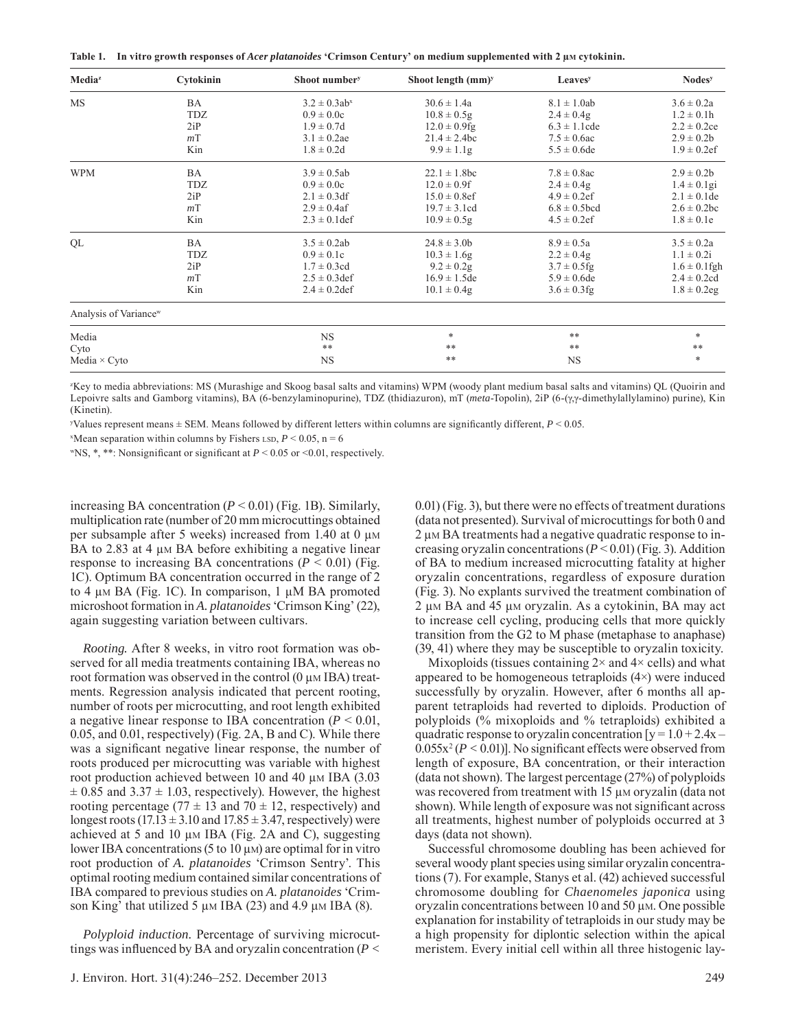**Table 1.** In vitro growth responses of *Acer platanoides* 'Crimson Century' on medium supplemented with 2 μm cytokinin.

| Media <sup>z</sup>                | Cytokinin      | Shoot number <sup>y</sup>     | Shoot length $(mm)^y$ | <b>Leaves</b> <sup>y</sup> | <b>Nodes</b> <sup>y</sup> |
|-----------------------------------|----------------|-------------------------------|-----------------------|----------------------------|---------------------------|
| <b>MS</b>                         | BA             | $3.2 \pm 0.3$ ab <sup>x</sup> | $30.6 \pm 1.4a$       | $8.1 \pm 1.0$ ab           | $3.6 \pm 0.2a$            |
|                                   | TDZ            | $0.9 \pm 0.0c$                | $10.8 \pm 0.5$ g      | $2.4 \pm 0.4g$             | $1.2 \pm 0.1h$            |
|                                   | 2iP            | $1.9 \pm 0.7d$                | $12.0 \pm 0.9$ fg     | $6.3 \pm 1.1$ cde          | $2.2 \pm 0.2$ ce          |
|                                   | m <sup>T</sup> | $3.1 \pm 0.2$ ae              | $21.4 \pm 2.4$ bc     | $7.5 \pm 0.6$ ac           | $2.9 \pm 0.2b$            |
|                                   | Kin            | $1.8 \pm 0.2d$                | $9.9 \pm 1.1$ g       | $5.5 \pm 0.6$ de           | $1.9 \pm 0.2$ ef          |
| <b>WPM</b>                        | <b>BA</b>      | $3.9 \pm 0.5$ ab              | $22.1 \pm 1.8$ bc     | $7.8 \pm 0.8$ ac           | $2.9 \pm 0.2b$            |
|                                   | TDZ            | $0.9 \pm 0.0c$                | $12.0 \pm 0.9$ f      | $2.4 \pm 0.4g$             | $1.4 \pm 0.1$ gi          |
|                                   | 2iP            | $2.1 \pm 0.3$ df              | $15.0 \pm 0.8$ ef     | $4.9 \pm 0.2$ ef           | $2.1 \pm 0.1$ de          |
|                                   | m <sup>T</sup> | $2.9 \pm 0.4$ af              | $19.7 \pm 3.1$ cd     | $6.8 \pm 0.5$ bcd          | $2.6 \pm 0.2$ bc          |
|                                   | Kin            | $2.3 \pm 0.1$ def             | $10.9 \pm 0.5$ g      | $4.5 \pm 0.2$ ef           | $1.8 \pm 0.1e$            |
| QL                                | BA             | $3.5 \pm 0.2ab$               | $24.8 \pm 3.0$        | $8.9 \pm 0.5a$             | $3.5 \pm 0.2a$            |
|                                   | TDZ            | $0.9 \pm 0.1c$                | $10.3 \pm 1.6$ g      | $2.2 \pm 0.4g$             | $1.1 \pm 0.2i$            |
|                                   | 2iP            | $1.7 \pm 0.3$ cd              | $9.2 \pm 0.2$ g       | $3.7 \pm 0.5$ fg           | $1.6 \pm 0.1$ fgh         |
|                                   | m <sup>T</sup> | $2.5 \pm 0.3$ def             | $16.9 \pm 1.5$ de     | $5.9 \pm 0.6$ de           | $2.4 \pm 0.2$ cd          |
|                                   | Kin            | $2.4 \pm 0.2$ def             | $10.1 \pm 0.4g$       | $3.6 \pm 0.3$ fg           | $1.8 \pm 0.2$ eg          |
| Analysis of Variance <sup>w</sup> |                |                               |                       |                            |                           |
| Media                             |                | <b>NS</b>                     | $\ast$                | $***$                      | $\ast$                    |
| Cyto                              |                | $***$                         | $***$                 | $***$                      | $***$                     |
| Media $\times$ Cyto               |                | <b>NS</b>                     | $***$                 | <b>NS</b>                  | $\ast$                    |

z Key to media abbreviations: MS (Murashige and Skoog basal salts and vitamins) WPM (woody plant medium basal salts and vitamins) QL (Quoirin and Lepoivre salts and Gamborg vitamins), BA (6-benzylaminopurine), TDZ (thidiazuron), mT (*meta*-Topolin), 2iP (6-(γ,γ-dimethylallylamino) purine), Kin (Kinetin).

Values represent means  $\pm$  SEM. Means followed by different letters within columns are significantly different,  $P \le 0.05$ .

 $x$ Mean separation within columns by Fishers LSD,  $P < 0.05$ , n = 6

"NS, \*, \*\*: Nonsignificant or significant at  $P \le 0.05$  or  $\le 0.01$ , respectively.

increasing BA concentration  $(P < 0.01)$  (Fig. 1B). Similarly, multiplication rate (number of 20 mm microcuttings obtained per subsample after 5 weeks) increased from 1.40 at 0 μM BA to 2.83 at 4 μm BA before exhibiting a negative linear response to increasing BA concentrations ( $P < 0.01$ ) (Fig. 1C). Optimum BA concentration occurred in the range of 2 to 4 μM BA (Fig. 1C). In comparison, 1 μM BA promoted microshoot formation in *A. platanoides* 'Crimson King' (22), again suggesting variation between cultivars.

*Rooting.* After 8 weeks, in vitro root formation was observed for all media treatments containing IBA, whereas no root formation was observed in the control  $(0 \mu M IBA)$  treatments. Regression analysis indicated that percent rooting, number of roots per microcutting, and root length exhibited a negative linear response to IBA concentration  $(P \le 0.01)$ , 0.05, and 0.01, respectively) (Fig. 2A, B and C). While there was a significant negative linear response, the number of roots produced per microcutting was variable with highest root production achieved between 10 and 40 μM IBA (3.03)  $\pm$  0.85 and 3.37  $\pm$  1.03, respectively). However, the highest rooting percentage (77  $\pm$  13 and 70  $\pm$  12, respectively) and longest roots  $(17.13 \pm 3.10 \text{ and } 17.85 \pm 3.47 \text{, respectively})$  were achieved at 5 and 10  $\mu$ M IBA (Fig. 2A and C), suggesting lower IBA concentrations (5 to 10 μM) are optimal for in vitro root production of *A. platanoides* 'Crimson Sentry'. This optimal rooting medium contained similar concentrations of IBA compared to previous studies on *A. platanoides* 'Crimson King' that utilized 5 μM IBA (23) and 4.9 μM IBA (8).

*Polyploid induction.* Percentage of surviving microcuttings was influenced by BA and oryzalin concentration  $(P <$  0.01) (Fig. 3), but there were no effects of treatment durations (data not presented). Survival of microcuttings for both 0 and 2 μM BA treatments had a negative quadratic response to increasing oryzalin concentrations (*P* < 0.01) (Fig. 3). Addition of BA to medium increased microcutting fatality at higher oryzalin concentrations, regardless of exposure duration (Fig. 3). No explants survived the treatment combination of 2 μM BA and 45 μM oryzalin. As a cytokinin, BA may act to increase cell cycling, producing cells that more quickly transition from the G2 to M phase (metaphase to anaphase) (39, 41) where they may be susceptible to oryzalin toxicity.

Mixoploids (tissues containing  $2 \times$  and  $4 \times$  cells) and what appeared to be homogeneous tetraploids (4×) were induced successfully by oryzalin. However, after 6 months all apparent tetraploids had reverted to diploids. Production of polyploids (% mixoploids and % tetraploids) exhibited a quadratic response to oryzalin concentration  $[y = 1.0 + 2.4x 0.055x^2 (P < 0.01)$ ]. No significant effects were observed from length of exposure, BA concentration, or their interaction (data not shown). The largest percentage (27%) of polyploids was recovered from treatment with 15 μM oryzalin (data not shown). While length of exposure was not significant across all treatments, highest number of polyploids occurred at 3 days (data not shown).

Successful chromosome doubling has been achieved for several woody plant species using similar oryzalin concentrations (7). For example, Stanys et al. (42) achieved successful chromosome doubling for *Chaenomeles japonica* using oryzalin concentrations between 10 and 50 μM. One possible explanation for instability of tetraploids in our study may be a high propensity for diplontic selection within the apical meristem. Every initial cell within all three histogenic lay-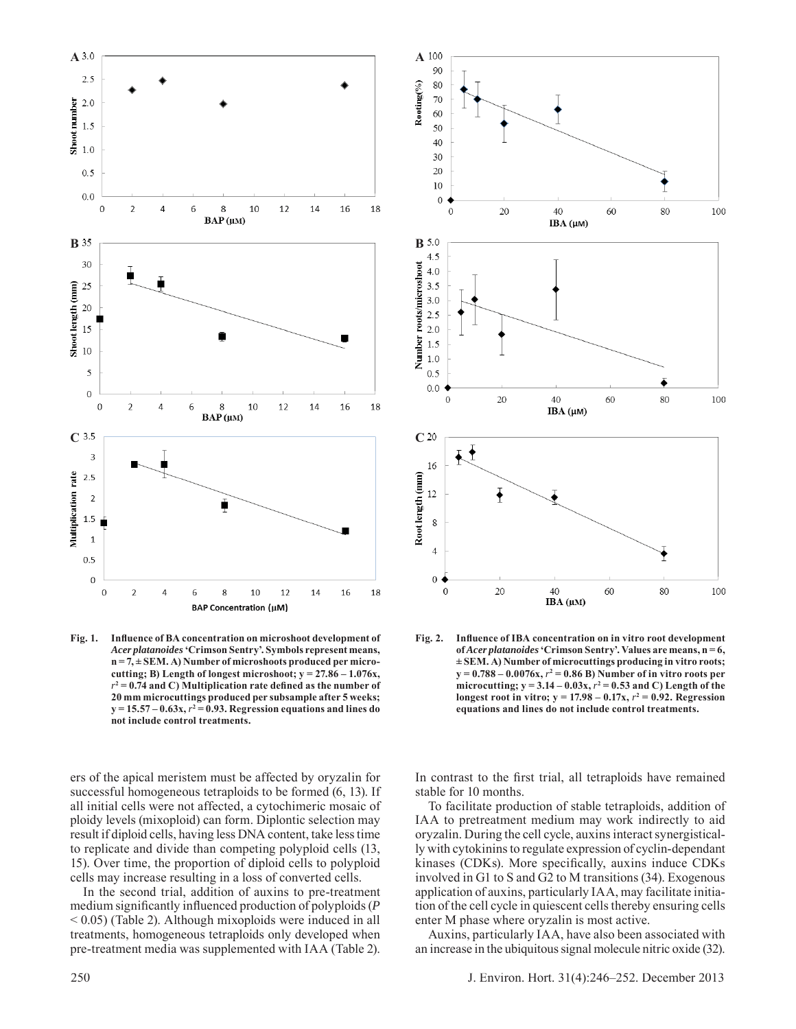

Fig. 1. Influence of BA concentration on microshoot development of *Acer platanoides* **'Crimson Sentry'. Symbols represent means, n = 7, ± SEM. A) Number of microshoots produced per microcutting; B) Length of longest microshoot; y = 27.86 – 1.076x,**   $r^2 = 0.74$  and C) Multiplication rate defined as the number of **20 mm microcuttings produced per subsample after 5 weeks;**   $y = 15.57 - 0.63x$ ,  $r^2 = 0.93$ . Regression equations and lines do **not include control treatments.**

ers of the apical meristem must be affected by oryzalin for successful homogeneous tetraploids to be formed (6, 13). If all initial cells were not affected, a cytochimeric mosaic of ploidy levels (mixoploid) can form. Diplontic selection may result if diploid cells, having less DNA content, take less time to replicate and divide than competing polyploid cells (13, 15). Over time, the proportion of diploid cells to polyploid cells may increase resulting in a loss of converted cells.

In the second trial, addition of auxins to pre-treatment medium significantly influenced production of polyploids (*P*  $< 0.05$ ) (Table 2). Although mixoploids were induced in all treatments, homogeneous tetraploids only developed when pre-treatment media was supplemented with IAA (Table 2).



Fig. 2. Influence of IBA concentration on in vitro root development **of** *Acer platanoides* **'Crimson Sentry'. Values are means, n = 6, ± SEM. A) Number of microcuttings producing in vitro roots;**   $y = 0.788 - 0.0076x$ ,  $r^2 = 0.86$  B) Number of in vitro roots per microcutting;  $y = 3.14 - 0.03x$ ,  $r^2 = 0.53$  and C) Length of the **longest root in vitro;**  $y = 17.98 - 0.17x$ **,**  $r^2 = 0.92$ **. Regression equations and lines do not include control treatments.**

In contrast to the first trial, all tetraploids have remained stable for 10 months.

To facilitate production of stable tetraploids, addition of IAA to pretreatment medium may work indirectly to aid oryzalin. During the cell cycle, auxins interact synergistically with cytokinins to regulate expression of cyclin-dependant kinases (CDKs). More specifically, auxins induce CDKs involved in G1 to S and G2 to M transitions (34). Exogenous application of auxins, particularly IAA, may facilitate initiation of the cell cycle in quiescent cells thereby ensuring cells enter M phase where oryzalin is most active.

Auxins, particularly IAA, have also been associated with an increase in the ubiquitous signal molecule nitric oxide (32).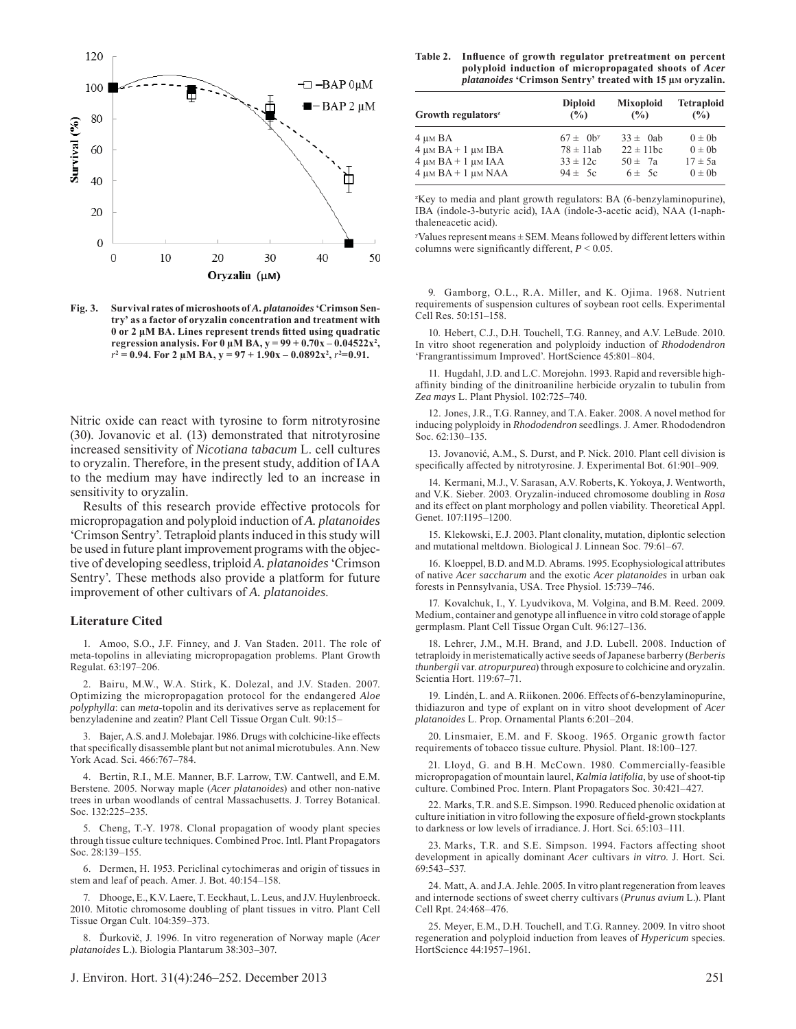

**Fig. 3. Survival rates of microshoots of** *A. platanoides* **'Crimson Sentry' as a factor of oryzalin concentration and treatment with 0 or 2 μM BA. Lines represent trends fi tted using quadratic regression analysis. For 0 μM BA,**  $y = 99 + 0.70x - 0.04522x^2$ **,**  $r^2 = 0.94$ . For 2  $\mu$ M BA,  $y = 97 + 1.90x - 0.0892x^2$ ,  $r^2 = 0.91$ .

Nitric oxide can react with tyrosine to form nitrotyrosine (30). Jovanovic et al. (13) demonstrated that nitrotyrosine increased sensitivity of *Nicotiana tabacum* L. cell cultures to oryzalin. Therefore, in the present study, addition of IAA to the medium may have indirectly led to an increase in sensitivity to oryzalin.

Results of this research provide effective protocols for micropropagation and polyploid induction of *A. platanoides* 'Crimson Sentry'. Tetraploid plants induced in this study will be used in future plant improvement programs with the objective of developing seedless, triploid *A. platanoides* 'Crimson Sentry'. These methods also provide a platform for future improvement of other cultivars of *A. platanoides*.

#### **Literature Cited**

1. Amoo, S.O., J.F. Finney, and J. Van Staden. 2011. The role of meta-topolins in alleviating micropropagation problems. Plant Growth Regulat. 63:197‒206.

2. Bairu, M.W., W.A. Stirk, K. Dolezal, and J.V. Staden. 2007. Optimizing the micropropagation protocol for the endangered *Aloe polyphylla*: can *meta*-topolin and its derivatives serve as replacement for benzyladenine and zeatin? Plant Cell Tissue Organ Cult. 90:15-

3. Bajer, A.S. and J. Molebajar. 1986. Drugs with colchicine-like effects that specifically disassemble plant but not animal microtubules. Ann. New York Acad. Sci. 466:767-784.

4. Bertin, R.I., M.E. Manner, B.F. Larrow, T.W. Cantwell, and E.M. Berstene. 2005. Norway maple (*Acer platanoides*) and other non-native trees in urban woodlands of central Massachusetts. J. Torrey Botanical. Soc. 132:225–235.

5. Cheng, T.-Y. 1978. Clonal propagation of woody plant species through tissue culture techniques. Combined Proc. Intl. Plant Propagators Soc. 28:139–155.

6. Dermen, H. 1953. Periclinal cytochimeras and origin of tissues in stem and leaf of peach. Amer. J. Bot. 40:154-158.

7. Dhooge, E., K.V. Laere, T. Eeckhaut, L. Leus, and J.V. Huylenbroeck. 2010. Mitotic chromosome doubling of plant tissues in vitro. Plant Cell Tissue Organ Cult. 104:359‒373.

8. Ďurkovič, J. 1996. In vitro regeneration of Norway maple (*Acer platanoides* L.). Biologia Plantarum 38:303‒307.

| <b>Table 2.</b> | Influence of growth regulator pretreatment on percent                 |
|-----------------|-----------------------------------------------------------------------|
|                 | polyploid induction of micropropagated shoots of <i>Acer</i>          |
|                 | <i>platanoides</i> 'Crimson Sentry' treated with 15 $\mu$ M oryzalin. |

| Growth regulators <sup>z</sup> | <b>Diploid</b>            | <b>Mixoploid</b> | <b>Tetraploid</b> |
|--------------------------------|---------------------------|------------------|-------------------|
|                                | (%)                       | (%)              | (%)               |
| 4 um BA                        | $67 \pm 0$ b <sup>y</sup> | $33 \pm 0$ ab    | $0 \pm 0$         |
| $4 \mu M B A + 1 \mu M I B A$  | $78 \pm 11ab$             | $22 \pm 11$ bc   | $0 \pm 0$         |
| $4 \mu M B A + 1 \mu M I A A$  | $33 \pm 12c$              | $50 \pm 7a$      | $17 \pm 5a$       |
| $4 \mu M B A + 1 \mu M N A A$  | $94 \pm 5c$               | $6 \pm 5c$       | $0 \pm 0$         |

z Key to media and plant growth regulators: BA (6-benzylaminopurine), IBA (indole-3-butyric acid), IAA (indole-3-acetic acid), NAA (1-naphthaleneacetic acid).

 $y$ Values represent means  $\pm$  SEM. Means followed by different letters within columns were significantly different,  $P < 0.05$ .

9. Gamborg, O.L., R.A. Miller, and K. Ojima. 1968. Nutrient requirements of suspension cultures of soybean root cells. Experimental Cell Res. 50:151-158.

10. Hebert, C.J., D.H. Touchell, T.G. Ranney, and A.V. LeBude. 2010. In vitro shoot regeneration and polyploidy induction of *Rhododendron* 'Frangrantissimum Improved'. HortScience 45:801‒804.

11. Hugdahl, J.D. and L.C. Morejohn. 1993. Rapid and reversible highaffinity binding of the dinitroaniline herbicide oryzalin to tubulin from *Zea mays* L. Plant Physiol. 102:725‒740.

12. Jones, J.R., T.G. Ranney, and T.A. Eaker. 2008. A novel method for inducing polyploidy in *Rhododendron* seedlings. J. Amer. Rhododendron Soc.  $62:130-135$ .

13. Jovanović, A.M., S. Durst, and P. Nick. 2010. Plant cell division is specifically affected by nitrotyrosine. J. Experimental Bot. 61:901-909.

14. Kermani, M.J., V. Sarasan, A.V. Roberts, K. Yokoya, J. Wentworth, and V.K. Sieber. 2003. Oryzalin-induced chromosome doubling in *Rosa* and its effect on plant morphology and pollen viability. Theoretical Appl. Genet. 107:1195-1200.

15. Klekowski, E.J. 2003. Plant clonality, mutation, diplontic selection and mutational meltdown. Biological J. Linnean Soc. 79:61–67.

16. Kloeppel, B.D. and M.D. Abrams. 1995. Ecophysiological attributes of native *Acer saccharum* and the exotic *Acer platanoides* in urban oak forests in Pennsylvania, USA. Tree Physiol. 15:739-746.

17. Kovalchuk, I., Y. Lyudvikova, M. Volgina, and B.M. Reed. 2009. Medium, container and genotype all influence in vitro cold storage of apple germplasm. Plant Cell Tissue Organ Cult. 96:127-136.

18. Lehrer, J.M., M.H. Brand, and J.D. Lubell. 2008. Induction of tetraploidy in meristematically active seeds of Japanese barberry (*Berberis thunbergii* var. *atropurpurea*) through exposure to colchicine and oryzalin. Scientia Hort. 119:67-71.

19. Lindén, L. and A. Riikonen. 2006. Effects of 6-benzylaminopurine, thidiazuron and type of explant on in vitro shoot development of *Acer platanoides* L. Prop. Ornamental Plants 6:201‒204.

20. Linsmaier, E.M. and F. Skoog. 1965. Organic growth factor requirements of tobacco tissue culture. Physiol. Plant. 18:100-127.

21. Lloyd, G. and B.H. McCown. 1980. Commercially-feasible micropropagation of mountain laurel, *Kalmia latifolia*, by use of shoot-tip culture. Combined Proc. Intern. Plant Propagators Soc. 30:421-427.

22. Marks, T.R. and S.E. Simpson. 1990. Reduced phenolic oxidation at culture initiation in vitro following the exposure of field-grown stockplants to darkness or low levels of irradiance. J. Hort. Sci. 65:103-111.

23. Marks, T.R. and S.E. Simpson. 1994. Factors affecting shoot development in apically dominant *Acer* cultivars *in vitro*. J. Hort. Sci. 69:543‒537.

24. Matt, A. and J.A. Jehle. 2005. In vitro plant regeneration from leaves and internode sections of sweet cherry cultivars (*Prunus avium* L.). Plant Cell Rpt. 24:468-476.

25. Meyer, E.M., D.H. Touchell, and T.G. Ranney. 2009. In vitro shoot regeneration and polyploid induction from leaves of *Hypericum* species. HortScience 44:1957-1961.